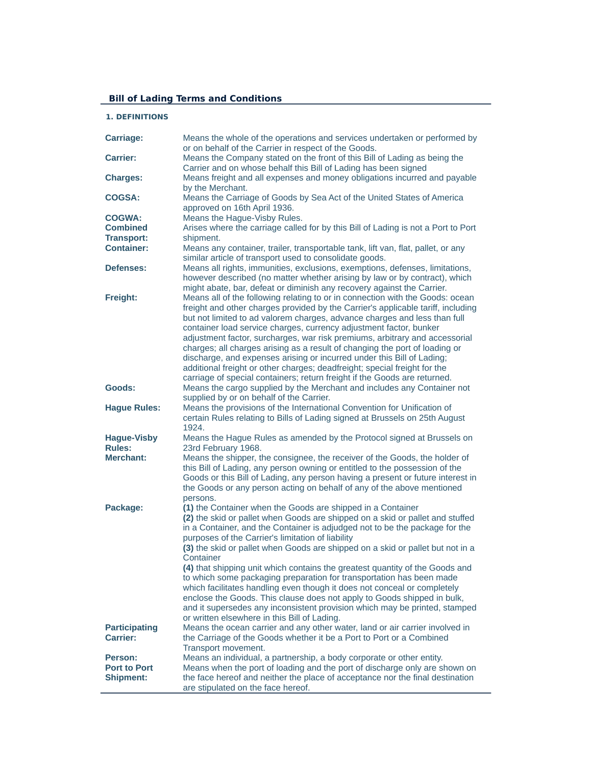# **Bill of Lading Terms and Conditions**

# **1. DEFINITIONS**

| Carriage:                               | Means the whole of the operations and services undertaken or performed by                                                                                      |
|-----------------------------------------|----------------------------------------------------------------------------------------------------------------------------------------------------------------|
| <b>Carrier:</b>                         | or on behalf of the Carrier in respect of the Goods.<br>Means the Company stated on the front of this Bill of Lading as being the                              |
|                                         | Carrier and on whose behalf this Bill of Lading has been signed                                                                                                |
| <b>Charges:</b>                         | Means freight and all expenses and money obligations incurred and payable                                                                                      |
|                                         | by the Merchant.                                                                                                                                               |
| <b>COGSA:</b>                           | Means the Carriage of Goods by Sea Act of the United States of America                                                                                         |
|                                         | approved on 16th April 1936.                                                                                                                                   |
| <b>COGWA:</b>                           | Means the Hague-Visby Rules.                                                                                                                                   |
| <b>Combined</b>                         | Arises where the carriage called for by this Bill of Lading is not a Port to Port                                                                              |
| <b>Transport:</b>                       | shipment.                                                                                                                                                      |
| <b>Container:</b>                       | Means any container, trailer, transportable tank, lift van, flat, pallet, or any                                                                               |
| <b>Defenses:</b>                        | similar article of transport used to consolidate goods.<br>Means all rights, immunities, exclusions, exemptions, defenses, limitations,                        |
|                                         | however described (no matter whether arising by law or by contract), which                                                                                     |
|                                         | might abate, bar, defeat or diminish any recovery against the Carrier.                                                                                         |
| Freight:                                | Means all of the following relating to or in connection with the Goods: ocean                                                                                  |
|                                         | freight and other charges provided by the Carrier's applicable tariff, including                                                                               |
|                                         | but not limited to ad valorem charges, advance charges and less than full                                                                                      |
|                                         | container load service charges, currency adjustment factor, bunker                                                                                             |
|                                         | adjustment factor, surcharges, war risk premiums, arbitrary and accessorial                                                                                    |
|                                         | charges; all charges arising as a result of changing the port of loading or                                                                                    |
|                                         | discharge, and expenses arising or incurred under this Bill of Lading;<br>additional freight or other charges; deadfreight; special freight for the            |
|                                         | carriage of special containers; return freight if the Goods are returned.                                                                                      |
| Goods:                                  | Means the cargo supplied by the Merchant and includes any Container not                                                                                        |
|                                         | supplied by or on behalf of the Carrier.                                                                                                                       |
| <b>Hague Rules:</b>                     | Means the provisions of the International Convention for Unification of                                                                                        |
|                                         | certain Rules relating to Bills of Lading signed at Brussels on 25th August                                                                                    |
|                                         | 1924.                                                                                                                                                          |
| <b>Hague-Visby</b>                      | Means the Hague Rules as amended by the Protocol signed at Brussels on                                                                                         |
| <b>Rules:</b>                           | 23rd February 1968.                                                                                                                                            |
| <b>Merchant:</b>                        | Means the shipper, the consignee, the receiver of the Goods, the holder of                                                                                     |
|                                         | this Bill of Lading, any person owning or entitled to the possession of the<br>Goods or this Bill of Lading, any person having a present or future interest in |
|                                         | the Goods or any person acting on behalf of any of the above mentioned                                                                                         |
|                                         | persons.                                                                                                                                                       |
| Package:                                | (1) the Container when the Goods are shipped in a Container                                                                                                    |
|                                         | (2) the skid or pallet when Goods are shipped on a skid or pallet and stuffed                                                                                  |
|                                         | in a Container, and the Container is adjudged not to be the package for the                                                                                    |
|                                         | purposes of the Carrier's limitation of liability                                                                                                              |
|                                         | (3) the skid or pallet when Goods are shipped on a skid or pallet but not in a                                                                                 |
|                                         | Container<br>(4) that shipping unit which contains the greatest quantity of the Goods and                                                                      |
|                                         | to which some packaging preparation for transportation has been made                                                                                           |
|                                         | which facilitates handling even though it does not conceal or completely                                                                                       |
|                                         | enclose the Goods. This clause does not apply to Goods shipped in bulk,                                                                                        |
|                                         | and it supersedes any inconsistent provision which may be printed, stamped                                                                                     |
|                                         | or written elsewhere in this Bill of Lading.                                                                                                                   |
| <b>Participating</b>                    | Means the ocean carrier and any other water, land or air carrier involved in                                                                                   |
| <b>Carrier:</b>                         | the Carriage of the Goods whether it be a Port to Port or a Combined                                                                                           |
|                                         | Transport movement.                                                                                                                                            |
| Person:                                 | Means an individual, a partnership, a body corporate or other entity.                                                                                          |
| <b>Port to Port</b><br><b>Shipment:</b> | Means when the port of loading and the port of discharge only are shown on                                                                                     |
|                                         | the face hereof and neither the place of acceptance nor the final destination<br>are stipulated on the face hereof.                                            |
|                                         |                                                                                                                                                                |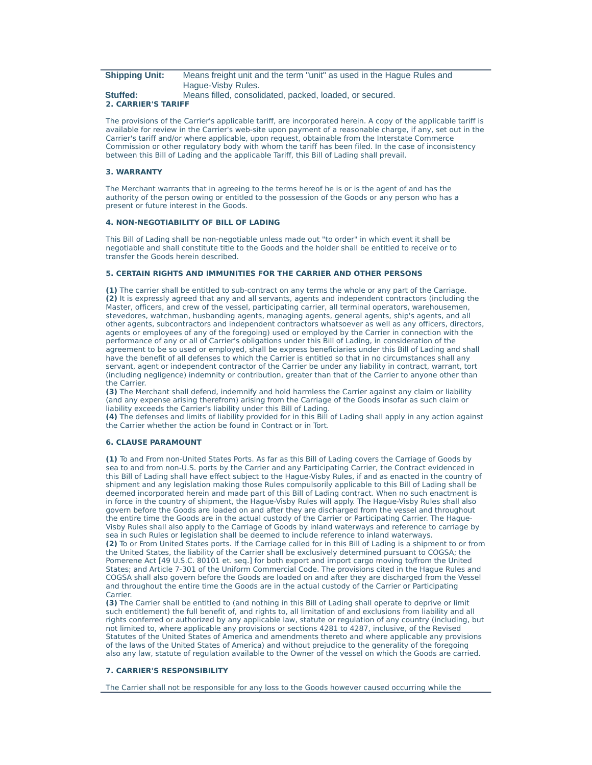| <b>Shipping Unit:</b> | Means freight unit and the term "unit" as used in the Hague Rules and |
|-----------------------|-----------------------------------------------------------------------|
|                       | Haque-Visby Rules.                                                    |
| <b>CALLED ALL</b>     | Messa filled especialmente produced located or conventi               |

#### **Stuffed:** Means filled, consolidated, packed, loaded, or secured. **2. CARRIER'S TARIFF**

The provisions of the Carrier's applicable tariff, are incorporated herein. A copy of the applicable tariff is available for review in the Carrier's web-site upon payment of a reasonable charge, if any, set out in the Carrier's tariff and/or where applicable, upon request, obtainable from the Interstate Commerce Commission or other regulatory body with whom the tariff has been filed. In the case of inconsistency between this Bill of Lading and the applicable Tariff, this Bill of Lading shall prevail.

## **3. WARRANTY**

The Merchant warrants that in agreeing to the terms hereof he is or is the agent of and has the authority of the person owing or entitled to the possession of the Goods or any person who has a present or future interest in the Goods.

#### **4. NON-NEGOTIABILITY OF BILL OF LADING**

This Bill of Lading shall be non-negotiable unless made out "to order" in which event it shall be negotiable and shall constitute title to the Goods and the holder shall be entitled to receive or to transfer the Goods herein described.

## **5. CERTAIN RIGHTS AND IMMUNITIES FOR THE CARRIER AND OTHER PERSONS**

**(1)** The carrier shall be entitled to sub-contract on any terms the whole or any part of the Carriage. **(2)** It is expressly agreed that any and all servants, agents and independent contractors (including the Master, officers, and crew of the vessel, participating carrier, all terminal operators, warehousemen, stevedores, watchman, husbanding agents, managing agents, general agents, ship's agents, and all other agents, subcontractors and independent contractors whatsoever as well as any officers, directors, agents or employees of any of the foregoing) used or employed by the Carrier in connection with the performance of any or all of Carrier's obligations under this Bill of Lading, in consideration of the agreement to be so used or employed, shall be express beneficiaries under this Bill of Lading and shall have the benefit of all defenses to which the Carrier is entitled so that in no circumstances shall any servant, agent or independent contractor of the Carrier be under any liability in contract, warrant, tort (including negligence) indemnity or contribution, greater than that of the Carrier to anyone other than the Carrier.

**(3)** The Merchant shall defend, indemnify and hold harmless the Carrier against any claim or liability (and any expense arising therefrom) arising from the Carriage of the Goods insofar as such claim or liability exceeds the Carrier's liability under this Bill of Lading.

**(4)** The defenses and limits of liability provided for in this Bill of Lading shall apply in any action against the Carrier whether the action be found in Contract or in Tort.

## **6. CLAUSE PARAMOUNT**

**(1)** To and From non-United States Ports. As far as this Bill of Lading covers the Carriage of Goods by sea to and from non-U.S. ports by the Carrier and any Participating Carrier, the Contract evidenced in this Bill of Lading shall have effect subject to the Hague-Visby Rules, if and as enacted in the country of shipment and any legislation making those Rules compulsorily applicable to this Bill of Lading shall be deemed incorporated herein and made part of this Bill of Lading contract. When no such enactment is in force in the country of shipment, the Hague-Visby Rules will apply. The Hague-Visby Rules shall also govern before the Goods are loaded on and after they are discharged from the vessel and throughout the entire time the Goods are in the actual custody of the Carrier or Participating Carrier. The Hague-Visby Rules shall also apply to the Carriage of Goods by inland waterways and reference to carriage by sea in such Rules or legislation shall be deemed to include reference to inland waterways. **(2)** To or From United States ports. If the Carriage called for in this Bill of Lading is a shipment to or from the United States, the liability of the Carrier shall be exclusively determined pursuant to COGSA; the Pomerene Act [49 U.S.C. 80101 et. seq.] for both export and import cargo moving to/from the United States; and Article 7-301 of the Uniform Commercial Code. The provisions cited in the Hague Rules and COGSA shall also govern before the Goods are loaded on and after they are discharged from the Vessel and throughout the entire time the Goods are in the actual custody of the Carrier or Participating **Carrier** 

**(3)** The Carrier shall be entitled to (and nothing in this Bill of Lading shall operate to deprive or limit such entitlement) the full benefit of, and rights to, all limitation of and exclusions from liability and all rights conferred or authorized by any applicable law, statute or regulation of any country (including, but not limited to, where applicable any provisions or sections 4281 to 4287, inclusive, of the Revised Statutes of the United States of America and amendments thereto and where applicable any provisions of the laws of the United States of America) and without prejudice to the generality of the foregoing also any law, statute of regulation available to the Owner of the vessel on which the Goods are carried.

#### **7. CARRIER'S RESPONSIBILITY**

The Carrier shall not be responsible for any loss to the Goods however caused occurring while the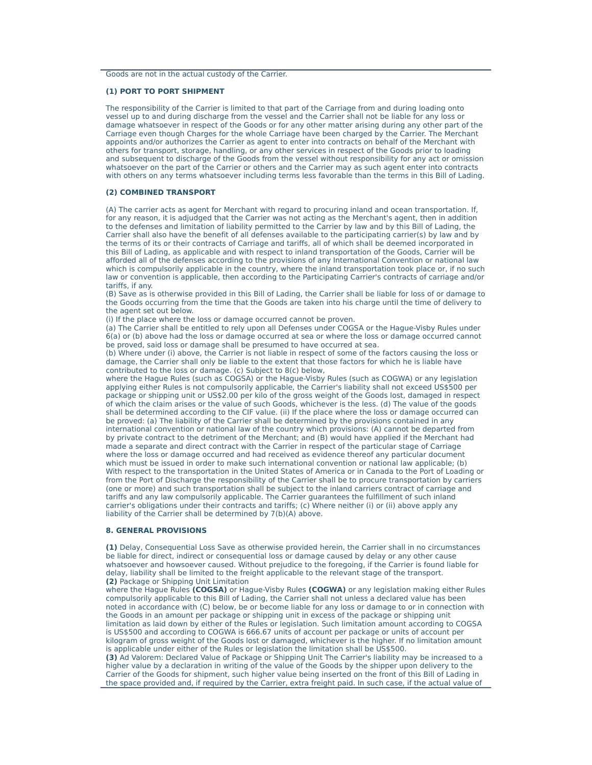#### **(1) PORT TO PORT SHIPMENT**

The responsibility of the Carrier is limited to that part of the Carriage from and during loading onto vessel up to and during discharge from the vessel and the Carrier shall not be liable for any loss or damage whatsoever in respect of the Goods or for any other matter arising during any other part of the Carriage even though Charges for the whole Carriage have been charged by the Carrier. The Merchant appoints and/or authorizes the Carrier as agent to enter into contracts on behalf of the Merchant with others for transport, storage, handling, or any other services in respect of the Goods prior to loading and subsequent to discharge of the Goods from the vessel without responsibility for any act or omission whatsoever on the part of the Carrier or others and the Carrier may as such agent enter into contracts with others on any terms whatsoever including terms less favorable than the terms in this Bill of Lading.

#### **(2) COMBINED TRANSPORT**

(A) The carrier acts as agent for Merchant with regard to procuring inland and ocean transportation. If, for any reason, it is adjudged that the Carrier was not acting as the Merchant's agent, then in addition to the defenses and limitation of liability permitted to the Carrier by law and by this Bill of Lading, the Carrier shall also have the benefit of all defenses available to the participating carrier(s) by law and by the terms of its or their contracts of Carriage and tariffs, all of which shall be deemed incorporated in this Bill of Lading, as applicable and with respect to inland transportation of the Goods, Carrier will be afforded all of the defenses according to the provisions of any International Convention or national law which is compulsorily applicable in the country, where the inland transportation took place or, if no such law or convention is applicable, then according to the Participating Carrier's contracts of carriage and/or tariffs, if any.

(B) Save as is otherwise provided in this Bill of Lading, the Carrier shall be liable for loss of or damage to the Goods occurring from the time that the Goods are taken into his charge until the time of delivery to the agent set out below.

(i) If the place where the loss or damage occurred cannot be proven.

(a) The Carrier shall be entitled to rely upon all Defenses under COGSA or the Hague-Visby Rules under 6(a) or (b) above had the loss or damage occurred at sea or where the loss or damage occurred cannot be proved, said loss or damage shall be presumed to have occurred at sea.

(b) Where under (i) above, the Carrier is not liable in respect of some of the factors causing the loss or damage, the Carrier shall only be liable to the extent that those factors for which he is liable have contributed to the loss or damage. (c) Subject to 8(c) below,

where the Hague Rules (such as COGSA) or the Hague-Visby Rules (such as COGWA) or any legislation applying either Rules is not compulsorily applicable, the Carrier's liability shall not exceed US\$500 per package or shipping unit or US\$2.00 per kilo of the gross weight of the Goods lost, damaged in respect of which the claim arises or the value of such Goods, whichever is the less. (d) The value of the goods shall be determined according to the CIF value. (ii) If the place where the loss or damage occurred can be proved: (a) The liability of the Carrier shall be determined by the provisions contained in any international convention or national law of the country which provisions: (A) cannot be departed from by private contract to the detriment of the Merchant; and (B) would have applied if the Merchant had made a separate and direct contract with the Carrier in respect of the particular stage of Carriage where the loss or damage occurred and had received as evidence thereof any particular document which must be issued in order to make such international convention or national law applicable; (b) With respect to the transportation in the United States of America or in Canada to the Port of Loading or from the Port of Discharge the responsibility of the Carrier shall be to procure transportation by carriers (one or more) and such transportation shall be subject to the inland carriers contract of carriage and tariffs and any law compulsorily applicable. The Carrier guarantees the fulfillment of such inland carrier's obligations under their contracts and tariffs; (c) Where neither (i) or (ii) above apply any liability of the Carrier shall be determined by 7(b)(A) above.

#### **8. GENERAL PROVISIONS**

**(1)** Delay, Consequential Loss Save as otherwise provided herein, the Carrier shall in no circumstances be liable for direct, indirect or consequential loss or damage caused by delay or any other cause whatsoever and howsoever caused. Without prejudice to the foregoing, if the Carrier is found liable for delay, liability shall be limited to the freight applicable to the relevant stage of the transport. **(2)** Package or Shipping Unit Limitation

where the Hague Rules **(COGSA)** or Hague-Visby Rules **(COGWA)** or any legislation making either Rules compulsorily applicable to this Bill of Lading, the Carrier shall not unless a declared value has been noted in accordance with (C) below, be or become liable for any loss or damage to or in connection with the Goods in an amount per package or shipping unit in excess of the package or shipping unit limitation as laid down by either of the Rules or legislation. Such limitation amount according to COGSA is US\$500 and according to COGWA is 666.67 units of account per package or units of account per kilogram of gross weight of the Goods lost or damaged, whichever is the higher. If no limitation amount is applicable under either of the Rules or legislation the limitation shall be US\$500.

**(3)** Ad Valorem: Declared Value of Package or Shipping Unit The Carrier's liability may be increased to a higher value by a declaration in writing of the value of the Goods by the shipper upon delivery to the Carrier of the Goods for shipment, such higher value being inserted on the front of this Bill of Lading in the space provided and, if required by the Carrier, extra freight paid. In such case, if the actual value of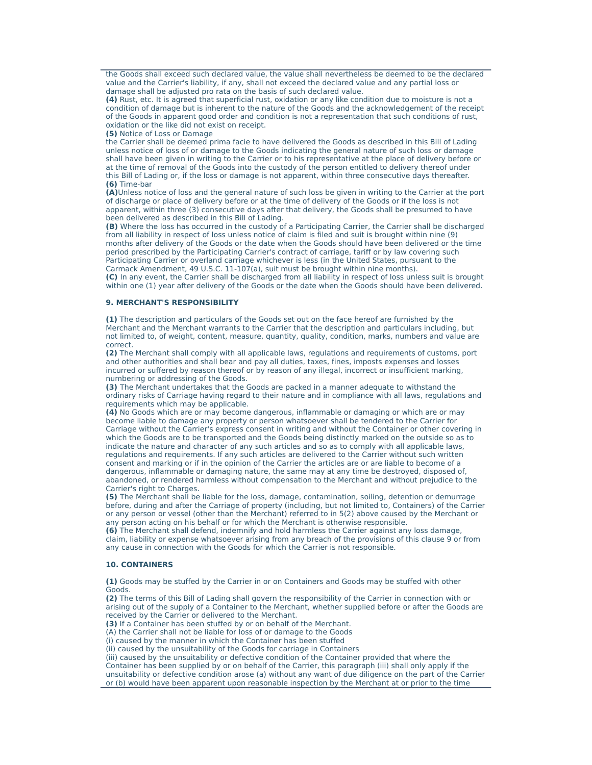the Goods shall exceed such declared value, the value shall nevertheless be deemed to be the declared value and the Carrier's liability, if any, shall not exceed the declared value and any partial loss or damage shall be adjusted pro rata on the basis of such declared value.

**(4)** Rust, etc. It is agreed that superficial rust, oxidation or any like condition due to moisture is not a condition of damage but is inherent to the nature of the Goods and the acknowledgement of the receipt of the Goods in apparent good order and condition is not a representation that such conditions of rust, oxidation or the like did not exist on receipt.

**(5)** Notice of Loss or Damage

the Carrier shall be deemed prima facie to have delivered the Goods as described in this Bill of Lading unless notice of loss of or damage to the Goods indicating the general nature of such loss or damage shall have been given in writing to the Carrier or to his representative at the place of delivery before or at the time of removal of the Goods into the custody of the person entitled to delivery thereof under this Bill of Lading or, if the loss or damage is not apparent, within three consecutive days thereafter. **(6)** Time-bar

**(A)**Unless notice of loss and the general nature of such loss be given in writing to the Carrier at the port of discharge or place of delivery before or at the time of delivery of the Goods or if the loss is not apparent, within three (3) consecutive days after that delivery, the Goods shall be presumed to have been delivered as described in this Bill of Lading.

**(B)** Where the loss has occurred in the custody of a Participating Carrier, the Carrier shall be discharged from all liability in respect of loss unless notice of claim is filed and suit is brought within nine (9) months after delivery of the Goods or the date when the Goods should have been delivered or the time period prescribed by the Participating Carrier's contract of carriage, tariff or by law covering such Participating Carrier or overland carriage whichever is less (in the United States, pursuant to the Carmack Amendment, 49 U.S.C. 11-107(a), suit must be brought within nine months).

**(C)** In any event, the Carrier shall be discharged from all liability in respect of loss unless suit is brought within one (1) year after delivery of the Goods or the date when the Goods should have been delivered.

## **9. MERCHANT'S RESPONSIBILITY**

**(1)** The description and particulars of the Goods set out on the face hereof are furnished by the Merchant and the Merchant warrants to the Carrier that the description and particulars including, but not limited to, of weight, content, measure, quantity, quality, condition, marks, numbers and value are correct.

**(2)** The Merchant shall comply with all applicable laws, regulations and requirements of customs, port and other authorities and shall bear and pay all duties, taxes, fines, imposts expenses and losses incurred or suffered by reason thereof or by reason of any illegal, incorrect or insufficient marking, numbering or addressing of the Goods.

**(3)** The Merchant undertakes that the Goods are packed in a manner adequate to withstand the ordinary risks of Carriage having regard to their nature and in compliance with all laws, regulations and requirements which may be applicable.

**(4)** No Goods which are or may become dangerous, inflammable or damaging or which are or may become liable to damage any property or person whatsoever shall be tendered to the Carrier for Carriage without the Carrier's express consent in writing and without the Container or other covering in which the Goods are to be transported and the Goods being distinctly marked on the outside so as to indicate the nature and character of any such articles and so as to comply with all applicable laws, regulations and requirements. If any such articles are delivered to the Carrier without such written consent and marking or if in the opinion of the Carrier the articles are or are liable to become of a dangerous, inflammable or damaging nature, the same may at any time be destroyed, disposed of, abandoned, or rendered harmless without compensation to the Merchant and without prejudice to the Carrier's right to Charges.

**(5)** The Merchant shall be liable for the loss, damage, contamination, soiling, detention or demurrage before, during and after the Carriage of property (including, but not limited to, Containers) of the Carrier or any person or vessel (other than the Merchant) referred to in 5(2) above caused by the Merchant or any person acting on his behalf or for which the Merchant is otherwise responsible.

**(6)** The Merchant shall defend, indemnify and hold harmless the Carrier against any loss damage, claim, liability or expense whatsoever arising from any breach of the provisions of this clause 9 or from any cause in connection with the Goods for which the Carrier is not responsible.

#### **10. CONTAINERS**

**(1)** Goods may be stuffed by the Carrier in or on Containers and Goods may be stuffed with other Goods.

**(2)** The terms of this Bill of Lading shall govern the responsibility of the Carrier in connection with or arising out of the supply of a Container to the Merchant, whether supplied before or after the Goods are received by the Carrier or delivered to the Merchant.

**(3)** If a Container has been stuffed by or on behalf of the Merchant.

(A) the Carrier shall not be liable for loss of or damage to the Goods

(i) caused by the manner in which the Container has been stuffed

(ii) caused by the unsuitability of the Goods for carriage in Containers

(iii) caused by the unsuitability or defective condition of the Container provided that where the

Container has been supplied by or on behalf of the Carrier, this paragraph (iii) shall only apply if the unsuitability or defective condition arose (a) without any want of due diligence on the part of the Carrier or (b) would have been apparent upon reasonable inspection by the Merchant at or prior to the time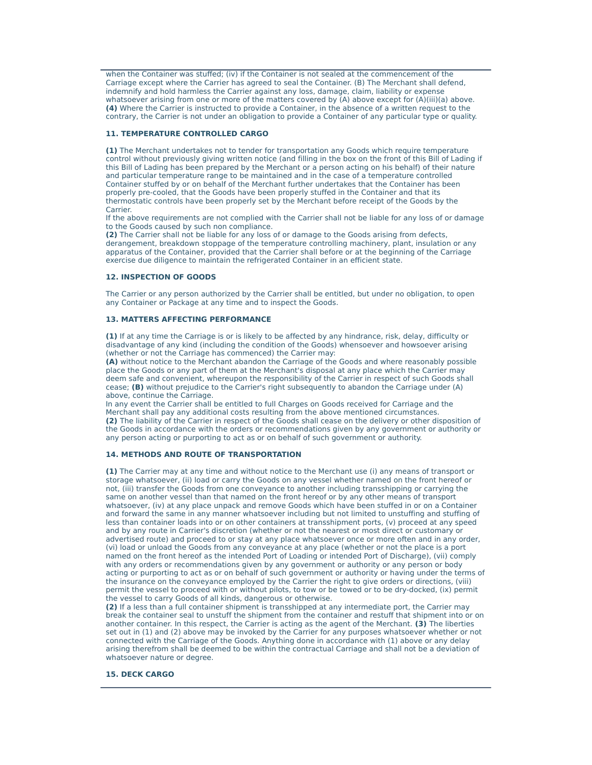when the Container was stuffed; (iv) if the Container is not sealed at the commencement of the Carriage except where the Carrier has agreed to seal the Container. (B) The Merchant shall defend, indemnify and hold harmless the Carrier against any loss, damage, claim, liability or expense whatsoever arising from one or more of the matters covered by (A) above except for (A)(iii)(a) above. **(4)** Where the Carrier is instructed to provide a Container, in the absence of a written request to the contrary, the Carrier is not under an obligation to provide a Container of any particular type or quality.

## **11. TEMPERATURE CONTROLLED CARGO**

**(1)** The Merchant undertakes not to tender for transportation any Goods which require temperature control without previously giving written notice (and filling in the box on the front of this Bill of Lading if this Bill of Lading has been prepared by the Merchant or a person acting on his behalf) of their nature and particular temperature range to be maintained and in the case of a temperature controlled Container stuffed by or on behalf of the Merchant further undertakes that the Container has been properly pre-cooled, that the Goods have been properly stuffed in the Container and that its thermostatic controls have been properly set by the Merchant before receipt of the Goods by the Carrier.

If the above requirements are not complied with the Carrier shall not be liable for any loss of or damage to the Goods caused by such non compliance.

**(2)** The Carrier shall not be liable for any loss of or damage to the Goods arising from defects, derangement, breakdown stoppage of the temperature controlling machinery, plant, insulation or any apparatus of the Container, provided that the Carrier shall before or at the beginning of the Carriage exercise due diligence to maintain the refrigerated Container in an efficient state.

## **12. INSPECTION OF GOODS**

The Carrier or any person authorized by the Carrier shall be entitled, but under no obligation, to open any Container or Package at any time and to inspect the Goods.

## **13. MATTERS AFFECTING PERFORMANCE**

**(1)** If at any time the Carriage is or is likely to be affected by any hindrance, risk, delay, difficulty or disadvantage of any kind (including the condition of the Goods) whensoever and howsoever arising (whether or not the Carriage has commenced) the Carrier may:

**(A)** without notice to the Merchant abandon the Carriage of the Goods and where reasonably possible place the Goods or any part of them at the Merchant's disposal at any place which the Carrier may deem safe and convenient, whereupon the responsibility of the Carrier in respect of such Goods shall cease; **(B)** without prejudice to the Carrier's right subsequently to abandon the Carriage under (A) above, continue the Carriage.

In any event the Carrier shall be entitled to full Charges on Goods received for Carriage and the Merchant shall pay any additional costs resulting from the above mentioned circumstances. **(2)** The liability of the Carrier in respect of the Goods shall cease on the delivery or other disposition of the Goods in accordance with the orders or recommendations given by any government or authority or any person acting or purporting to act as or on behalf of such government or authority.

#### **14. METHODS AND ROUTE OF TRANSPORTATION**

**(1)** The Carrier may at any time and without notice to the Merchant use (i) any means of transport or storage whatsoever, (ii) load or carry the Goods on any vessel whether named on the front hereof or not, (iii) transfer the Goods from one conveyance to another including transshipping or carrying the same on another vessel than that named on the front hereof or by any other means of transport whatsoever, (iv) at any place unpack and remove Goods which have been stuffed in or on a Container and forward the same in any manner whatsoever including but not limited to unstuffing and stuffing of less than container loads into or on other containers at transshipment ports, (v) proceed at any speed and by any route in Carrier's discretion (whether or not the nearest or most direct or customary or advertised route) and proceed to or stay at any place whatsoever once or more often and in any order, (vi) load or unload the Goods from any conveyance at any place (whether or not the place is a port named on the front hereof as the intended Port of Loading or intended Port of Discharge), (vii) comply with any orders or recommendations given by any government or authority or any person or body acting or purporting to act as or on behalf of such government or authority or having under the terms of the insurance on the conveyance employed by the Carrier the right to give orders or directions, (viii) permit the vessel to proceed with or without pilots, to tow or be towed or to be dry-docked, (ix) permit the vessel to carry Goods of all kinds, dangerous or otherwise.

**(2)** If a less than a full container shipment is transshipped at any intermediate port, the Carrier may break the container seal to unstuff the shipment from the container and restuff that shipment into or on another container. In this respect, the Carrier is acting as the agent of the Merchant. **(3)** The liberties set out in (1) and (2) above may be invoked by the Carrier for any purposes whatsoever whether or not connected with the Carriage of the Goods. Anything done in accordance with (1) above or any delay arising therefrom shall be deemed to be within the contractual Carriage and shall not be a deviation of whatsoever nature or degree.

## **15. DECK CARGO**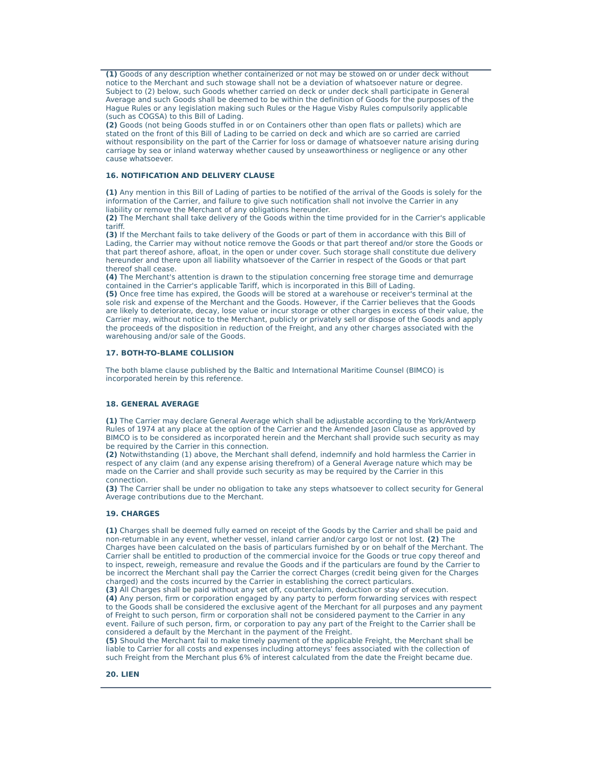**(1)** Goods of any description whether containerized or not may be stowed on or under deck without notice to the Merchant and such stowage shall not be a deviation of whatsoever nature or degree. Subject to (2) below, such Goods whether carried on deck or under deck shall participate in General Average and such Goods shall be deemed to be within the definition of Goods for the purposes of the Hague Rules or any legislation making such Rules or the Hague Visby Rules compulsorily applicable (such as COGSA) to this Bill of Lading.

**(2)** Goods (not being Goods stuffed in or on Containers other than open flats or pallets) which are stated on the front of this Bill of Lading to be carried on deck and which are so carried are carried without responsibility on the part of the Carrier for loss or damage of whatsoever nature arising during carriage by sea or inland waterway whether caused by unseaworthiness or negligence or any other cause whatsoever.

## **16. NOTIFICATION AND DELIVERY CLAUSE**

**(1)** Any mention in this Bill of Lading of parties to be notified of the arrival of the Goods is solely for the information of the Carrier, and failure to give such notification shall not involve the Carrier in any liability or remove the Merchant of any obligations hereunder.

**(2)** The Merchant shall take delivery of the Goods within the time provided for in the Carrier's applicable tariff.

**(3)** If the Merchant fails to take delivery of the Goods or part of them in accordance with this Bill of Lading, the Carrier may without notice remove the Goods or that part thereof and/or store the Goods or that part thereof ashore, afloat, in the open or under cover. Such storage shall constitute due delivery hereunder and there upon all liability whatsoever of the Carrier in respect of the Goods or that part thereof shall cease.

**(4)** The Merchant's attention is drawn to the stipulation concerning free storage time and demurrage contained in the Carrier's applicable Tariff, which is incorporated in this Bill of Lading.

**(5)** Once free time has expired, the Goods will be stored at a warehouse or receiver's terminal at the sole risk and expense of the Merchant and the Goods. However, if the Carrier believes that the Goods are likely to deteriorate, decay, lose value or incur storage or other charges in excess of their value, the Carrier may, without notice to the Merchant, publicly or privately sell or dispose of the Goods and apply the proceeds of the disposition in reduction of the Freight, and any other charges associated with the warehousing and/or sale of the Goods.

## **17. BOTH-TO-BLAME COLLISION**

The both blame clause published by the Baltic and International Maritime Counsel (BIMCO) is incorporated herein by this reference.

## **18. GENERAL AVERAGE**

**(1)** The Carrier may declare General Average which shall be adjustable according to the York/Antwerp Rules of 1974 at any place at the option of the Carrier and the Amended Jason Clause as approved by BIMCO is to be considered as incorporated herein and the Merchant shall provide such security as may be required by the Carrier in this connection.

**(2)** Notwithstanding (1) above, the Merchant shall defend, indemnify and hold harmless the Carrier in respect of any claim (and any expense arising therefrom) of a General Average nature which may be made on the Carrier and shall provide such security as may be required by the Carrier in this connection.

**(3)** The Carrier shall be under no obligation to take any steps whatsoever to collect security for General Average contributions due to the Merchant.

#### **19. CHARGES**

**(1)** Charges shall be deemed fully earned on receipt of the Goods by the Carrier and shall be paid and non-returnable in any event, whether vessel, inland carrier and/or cargo lost or not lost. **(2)** The Charges have been calculated on the basis of particulars furnished by or on behalf of the Merchant. The Carrier shall be entitled to production of the commercial invoice for the Goods or true copy thereof and to inspect, reweigh, remeasure and revalue the Goods and if the particulars are found by the Carrier to be incorrect the Merchant shall pay the Carrier the correct Charges (credit being given for the Charges charged) and the costs incurred by the Carrier in establishing the correct particulars.

**(3)** All Charges shall be paid without any set off, counterclaim, deduction or stay of execution. **(4)** Any person, firm or corporation engaged by any party to perform forwarding services with respect to the Goods shall be considered the exclusive agent of the Merchant for all purposes and any payment of Freight to such person, firm or corporation shall not be considered payment to the Carrier in any event. Failure of such person, firm, or corporation to pay any part of the Freight to the Carrier shall be considered a default by the Merchant in the payment of the Freight.

**(5)** Should the Merchant fail to make timely payment of the applicable Freight, the Merchant shall be liable to Carrier for all costs and expenses including attorneys' fees associated with the collection of such Freight from the Merchant plus 6% of interest calculated from the date the Freight became due.